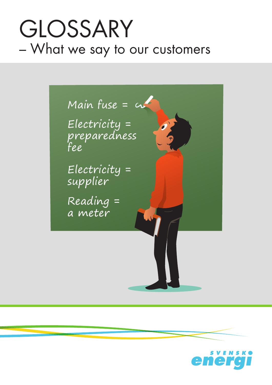# GLOSSARY – What we say to our customers



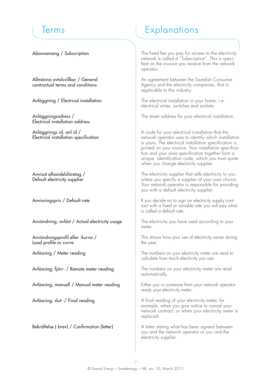Abonnemang / Subscription

Allmänna avtalsvillkor / General contractual terms and conditions

Anläggning / Electrical installation

Anläggningsadress / Electrical installation address

Anläggnings id, anl id / Electrical installation specification

Anvisat elhandelsföretag / Default electricity supplier

Anvisningspris / Default rate

Användning; avläst / Actual electricity usage

Användningsprofil eller -kurva / Load profile or curve

Avläsning / Meter reading

Avläsning; fjärr- / Remote meter reading

Avläsning; manuell / Manual meter reading

Avläsning; slut- / Final reading

Bekräftelse (-brev) / Confirmation (letter)

### Terms **Explanations**

The fixed fee you pay for access to the electricity network is called a "Subscription". This is specified on the invoice you receive from the network operator.

An agreement between the Swedish Consumer Agency and the electricity companies, that is applicable to this industry.

The electrical installation in your home, i.e. electrical wires, switches and sockets.

The street address for your electrical installation.

A code for your electrical installation that the network operator uses to identify which installation is yours. The electrical installation specification is printed on your invoice. Your installation specification and your area specification together form a unique identification code, which you must quote when you change electricity supplier.

The electricity supplier that sells electricity to you, unless you specify a supplier of your own choice. Your network operator is responsible for providing you with a default electricity supplier.

If you decide no to sign an electricity supply contract with a fixed or variable rate you will pay what is called a default rate.

The electricity you have used according to your meter.

This shows how your use of electricity varies during the year.

The numbers on your electricity meter are read to calculate how much electricity you use.

The numbers on your electricity meter are read automatically.

Either you or someone from your network operator reads your electricity meter.

A final reading of your electricity meter, for example, when you give notice to cancel your network contract, or when your electricity meter is replaced.

A letter stating what has been agreed between you and the network operator or you and the electricity supplier.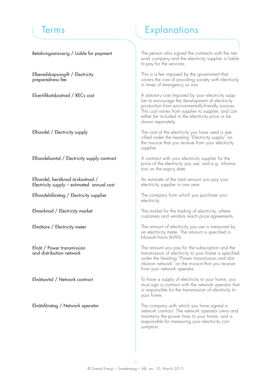Betalningsansvarig / Liable for payment

Elberedskapsavgift / Electricity preparedness fee

Elcertifikatskostnad / RECs cost

Elhandel / Electricity supply

Elhandelsavtal / Electricity supply contract

Elhandel; beräknad årskostnad / Electricity supply – estimated annual cost

Elhandelsföretag / Electricity supplier

Elmarknad / Electricity market

Elmätare / Electricity meter

Elnät / Power transmission and distribution network

Elnätsavtal / Network contract

Elnätsföretag / Network operator

## Terms **Explanations**

The person who signed the contracts with the network company and the electricity supplier is liable to pay for the services.

This is a fee imposed by the government that covers the cost of providing society with electricity in times of emergency or war.

A statutory cost imposed by your electricity supplier to encourage the development of electricity production from environmentally-friendly sources. This cost varies from supplier to supplier, and can either be included in the electricity price or be shown separately.

The cost of the electricity you have used is specified under the heading "Electricity supply" on the invoice that you receive from your electricity supplier.

A contract with your electricity supplier for the price of the electricity you use, and e.g. information on the expiry date.

An estimate of the total amount you pay your electricity supplier in one year.

The company from which you purchase your electricity.

The market for the trading of electricity, where customers and vendors reach price agreements.

The amount of electricity you use is measured by an electricity meter. The amount is specified in kilowatt hours (kWh).

The amount you pay for the subscription and the transmission of electricity to your home is specified under the heading "Power transmission and distribution network" on the invoice that you receive from your network operator.

To have a supply of electricity to your home, you must sign a contract with the network operator that is responsible for the transmission of electricity to your home.

The company with which you have signed a network contract. The network operator owns and maintains the power lines to your home, and is responsible for measuring your electricity consumption.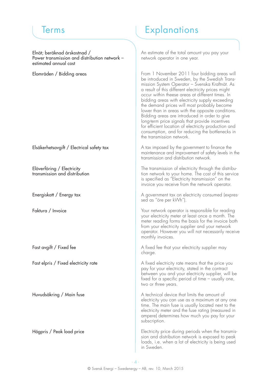Elnät; beräknad årskostnad / Power transmission and distribution network – estimated annual cost

Elområden / Bidding areas

Elsäkerhetsavgift / Electrical safety tax

Elöverföring / Electricity transmission and distribution

Energiskatt / Energy tax

Faktura / Invoice

Fast avgift / Fixed fee

Fast elpris / Fixed electricity rate

Huvudsäkring / Main fuse

Högpris / Peak load price

### Terms **Explanations**

An estimate of the total amount you pay your network operator in one year.

From 1 November 2011 four bidding areas will be introduced in Sweden, by the Swedish Transmission System Operator – Svenska Kraftnät. As a result of this different electricity prices might occur within theese areas at different times. In bidding areas with electricity supply exceeding the demand prices will most probably become lower than in areas with the opposite conditions. Bidding areas are introduced in order to give long-term price signals that provide incentives for efficient location of electricity production and consumption, and for reducing the bottlenecks in the transmission network.

A tax imposed by the government to finance the maintenance and improvement of safety levels in the transmission and distribution network.

The transmission of electricity through the distribution network to your home. The cost of this service is specified as "Electricity transmission" on the invoice you receive from the network operator.

A government tax on electricity consumed (expressed as "öre per kWh").

Your network operator is responsible for reading your electricity meter at least once a month. The meter reading forms the basis for the invoice both from your electricity supplier and your network operator. However you will not necessarily receive monthly invoices.

A fixed fee that your electricity supplier may charge.

A fixed electricity rate means that the price you pay for your electricity, stated in the contract between you and your electricity supplier, will be fixed for a specific period of time – usually one, two or three years.

A technical device that limits the amount of electricity you can use as a maximum at any one time. The main fuse is usually located next to the electricity meter and the fuse rating (measured in ampere) determines how much you pay for your subscription.

Electricity price during periods when the transmission and distribution network is exposed to peak loads, i.e. when a lot of electricity is being used in Sweden.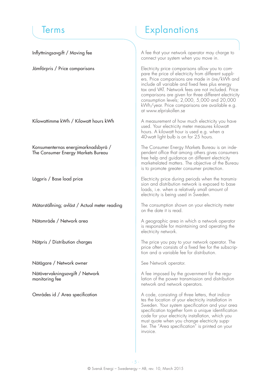Inflyttningsavgift / Moving fee

Jämförpris / Price comparisons

Kilowattimme kWh / Kilowatt hours kWh

Konsumenternas energimarknadsbyrå / The Consumer Energy Markets Bureau

Lågpris / Base load price

Mätarställning; avläst / Actual meter reading

Nätområde / Network area

Nätpris / Distribution charges

Nätägare / Network owner

Nätövervakningsavgift / Network monitoring fee

Områdes id / Area specification

### Terms **Explanations**

A fee that your network operator may charge to connect your system when you move in.

Electricity price comparisons allow you to compare the price of electricity from different suppliers. Price comparisons are made in öre/kWh and include all variable and fixed fees plus energy tax and VAT. Network fees are not included. Price comparisons are given for three different electricity consumption levels; 2,000, 5,000 and 20,000 kWh/year. Price comparisons are available e.g. at www.elpriskollen.se

A measurement of how much electricity you have used. Your electricity meter measures kilowatt hours. A kilowatt hour is used e.g. when a 40-watt light bulb is on for 25 hours.

The Consumer Energy Markets Bureau is an independent office that among others gives consumers free help and guidance on different electricity marketrelated matters. The objective of the Bureau is to promote greater consumer protection.

Electricity price during periods when the transmission and distribution network is exposed to base loads, i.e. when a relatively small amount of electricity is being used in Sweden.

The consumption shown on your electricity meter on the date it is read.

A geographic area in which a network operator is responsible for maintaining and operating the electricity network.

The price you pay to your network operator. The price often consists of a fixed fee for the subscription and a variable fee for distribution.

See Network operator.

A fee imposed by the government for the regulation of the power transmission and distribution network and network operators.

A code, consisting of three letters, that indicates the location of your electricity installation in Sweden. Your system specification and your area specification together form a unique identification code for your electricity installation, which you must quote when you change electricity supplier. The "Area specification" is printed on your invoice.